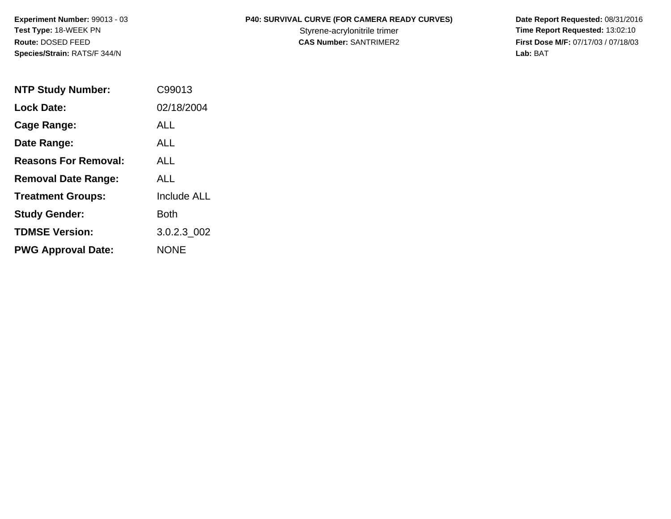**Species/Strain:** RATS/F 344/N **Lab:** BAT

## **Experiment Number:** 99013 - 03 **P40: SURVIVAL CURVE (FOR CAMERA READY CURVES) Date Report Requested:** 08/31/2016

Test Type: 18-WEEK PN **Styrene-acrylonitrile trimer** Styrene-acrylonitrile trimer **Time Report Requested:** 13:02:10 **Route:** DOSED FEED **CAS Number:** SANTRIMER2 **First Dose M/F:** 07/17/03 / 07/18/03

| <b>NTP Study Number:</b>    | C99013             |
|-----------------------------|--------------------|
| <b>Lock Date:</b>           | 02/18/2004         |
| Cage Range:                 | ALL                |
| Date Range:                 | ALL                |
| <b>Reasons For Removal:</b> | ALL                |
| <b>Removal Date Range:</b>  | ALL                |
| <b>Treatment Groups:</b>    | <b>Include ALL</b> |
| <b>Study Gender:</b>        | Both               |
| <b>TDMSE Version:</b>       | 3.0.2.3 002        |
| <b>PWG Approval Date:</b>   | <b>NONE</b>        |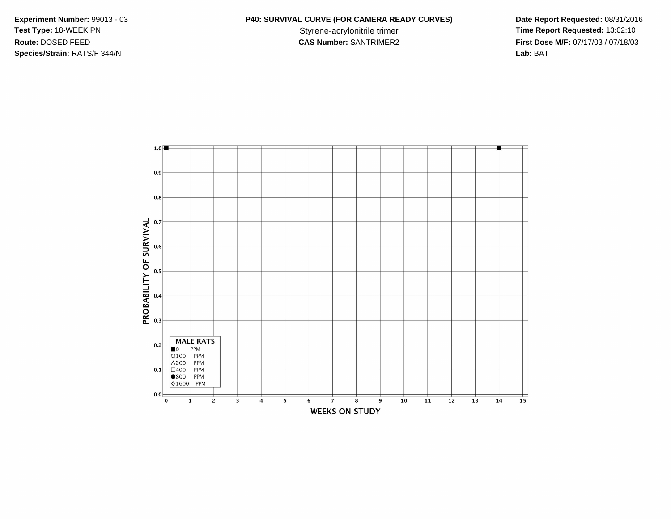**Species/Strain:** RATS/F 344/N **Lab:** BAT

## **Experiment Number:** 99013 - 03 **P40: SURVIVAL CURVE (FOR CAMERA READY CURVES) Date Report Requested:** 08/31/2016

Test Type: 18-WEEK PN **Styrene-acrylonitrile trimer** Styrene-acrylonitrile trimer **Time Report Requested:** 13:02:10 **Route:** DOSED FEED **CAS Number:** SANTRIMER2 **First Dose M/F:** 07/17/03 / 07/18/03